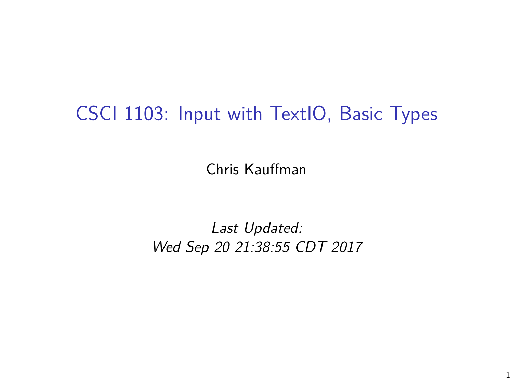# CSCI 1103: Input with TextIO, Basic Types

Chris Kauffman

Last Updated: Wed Sep 20 21:38:55 CDT 2017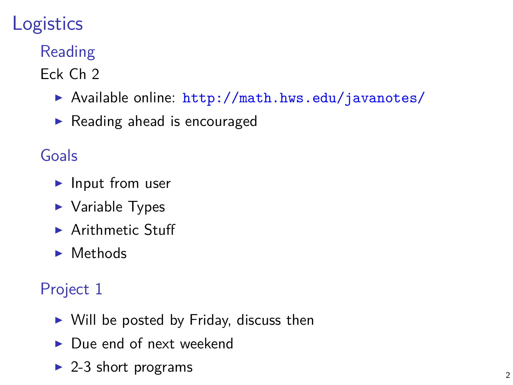# **Logistics**

### Reading

Eck Ch 2

- $\triangleright$  Available online: <http://math.hws.edu/javanotes/>
- $\blacktriangleright$  Reading ahead is encouraged

#### Goals

- $\blacktriangleright$  Input from user
- $\blacktriangleright$  Variable Types
- $\blacktriangleright$  Arithmetic Stuff
- $\blacktriangleright$  Methods

#### Project 1

- $\triangleright$  Will be posted by Friday, discuss then
- $\blacktriangleright$  Due end of next weekend
- $\triangleright$  2-3 short programs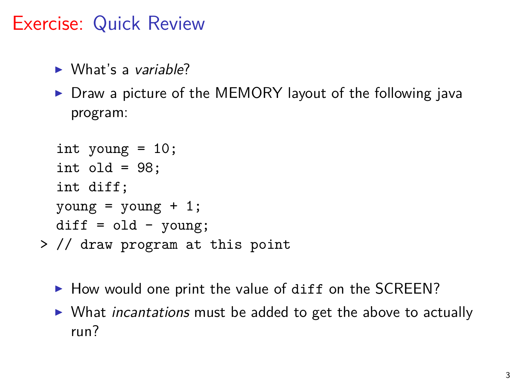# Exercise: Quick Review

- $\triangleright$  What's a variable?
- $\triangleright$  Draw a picture of the MEMORY layout of the following java program:

```
int young = 10;
  int old = 98;
  int diff;
  \text{young} = \text{young} + 1;diff = old - young;> // draw program at this point
```
- $\blacktriangleright$  How would one print the value of diff on the SCREEN?
- $\triangleright$  What incantations must be added to get the above to actually run?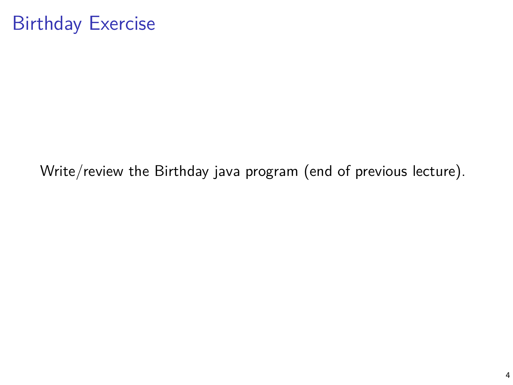## Birthday Exercise

Write/review the Birthday java program (end of previous lecture).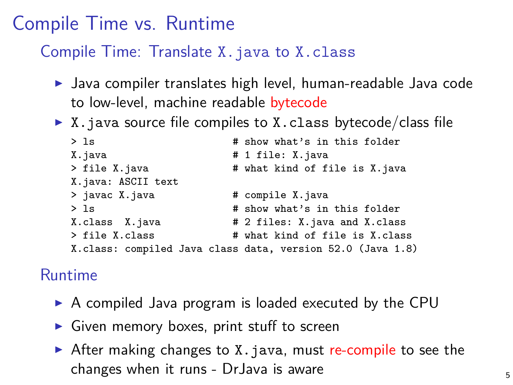## Compile Time vs. Runtime

#### Compile Time: Translate X.java to X.class

- $\blacktriangleright$  Java compiler translates high level, human-readable Java code to low-level, machine readable bytecode
- $\triangleright$  X. java source file compiles to X. class bytecode/class file

```
> ls # show what's in this folder
                      # 1 file: X.java
> file X.java # what kind of file is X.java
X.java: ASCII text
> javac X.java # compile X.java
> ls \qquad # show what's in this folder
X.class X.java # 2 files: X.java and X.class
> file X.class \overline{a} # what kind of file is X.class
X.class: compiled Java class data, version 52.0 (Java 1.8)
```
#### Runtime

- $\triangleright$  A compiled Java program is loaded executed by the CPU
- $\triangleright$  Given memory boxes, print stuff to screen
- $\triangleright$  After making changes to X. java, must re-compile to see the changes when it runs - DrJava is aware  $5<sub>5</sub>$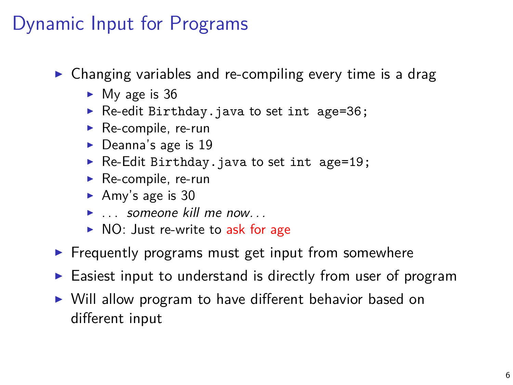# Dynamic Input for Programs

- $\triangleright$  Changing variables and re-compiling every time is a drag
	- $\blacktriangleright$  My age is 36
	- ▶ Re-edit Birthday.java to set int age=36;
	- $\blacktriangleright$  Re-compile, re-run
	- $\blacktriangleright$  Deanna's age is 19
	- $\triangleright$  Re-Edit Birthday. java to set int age=19;
	- $\blacktriangleright$  Re-compile, re-run
	- Amy's age is  $30$
	- $\blacktriangleright$  . someone kill me now...
	- $\triangleright$  NO: Just re-write to ask for age
- $\blacktriangleright$  Frequently programs must get input from somewhere
- $\triangleright$  Easiest input to understand is directly from user of program
- $\triangleright$  Will allow program to have different behavior based on different input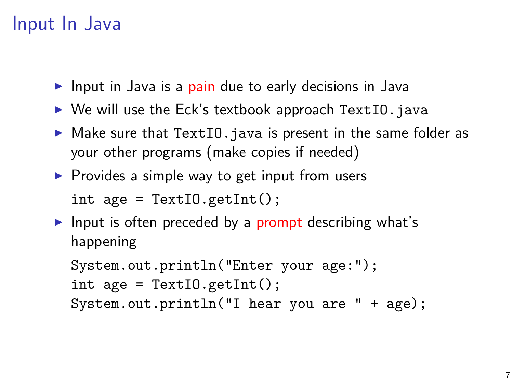## Input In Java

- Input in Java is a pain due to early decisions in Java
- $\triangleright$  We will use the Eck's textbook approach TextIO.java
- $\triangleright$  Make sure that TextIO. java is present in the same folder as your other programs (make copies if needed)
- $\triangleright$  Provides a simple way to get input from users

```
int age = TextI0.getInt();
```
Input is often preceded by a prompt describing what's happening

```
System.out.println("Enter your age:");
int age = TextI0.getInt();
System.out.println("I hear you are " + age);
```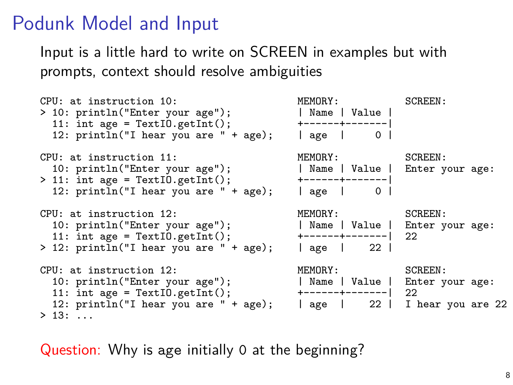#### Podunk Model and Input

Input is a little hard to write on SCREEN in examples but with prompts, context should resolve ambiguities

```
CPU: at instruction 10: The MEMORY: SCREEN:<br>
> 10: println("Enter your age"): The Head Mame | Value |
> 10: println("Enter your age"); | Name | Value |
   11: int age = TextIO.getInt(); +------+-------|
12: println("I hear you are " + age); | age | 0 |
CPU: at instruction 11: The MEMORY: SCREEN:<br>10: println("Enter your age"); The Rame | Value | Enter y
                                                            | Name | Value | Enter your age:<br>+-----+-------|
> 11: int age = TextIO.getInt(); +------+-------|
   12: print[n("I hear you are " + age);CPU: at instruction 12: <br>10: println("Enter your age"); The Mame | Value | Enter your age");
                                                             | Name | Value | Enter your age:<br>+------+-------| 22
  11: int age = TextI0.getInit(); +---+-----1<br>12: printIn("I hear you are " + age); | age | 22 |
> 12: println("I hear you are " + age);
CPU: at instruction 12: MEMORY: SCREEN:<br>10: println("Enter your age"); The Rome | Value | Enter y
                                                            | Name | Value | Enter your age:<br>+------+-------| 22
  11: int age = TextI\tilde{D}.getI\tilde{D}ricit(); \tilde{P} +-----+-------| 22 \tilde{Q}<br>12: println("I hear you are " + age); | age | 22 | I hear you are 22
  12: print[n("I hear you are " + age);> 13 \cdot ...
```
Question: Why is age initially 0 at the beginning?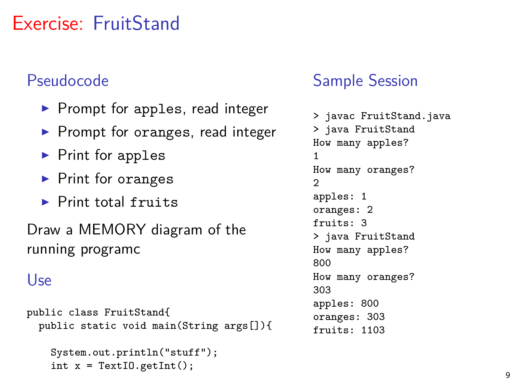# Exercise: FruitStand

#### Pseudocode

- $\blacktriangleright$  Prompt for apples, read integer
- $\blacktriangleright$  Prompt for oranges, read integer
- $\blacktriangleright$  Print for apples
- $\blacktriangleright$  Print for oranges
- $\blacktriangleright$  Print total fruits

Draw a MEMORY diagram of the running programc

#### Use

```
public class FruitStand{
  public static void main(String args[]){
```

```
System.out.println("stuff");
int x = \text{TextI0.getInt}();
```
#### Sample Session

```
> javac FruitStand.java
> java FruitStand
How many apples?
1
How many oranges?
2
apples: 1
oranges: 2
fruits: 3
> java FruitStand
How many apples?
800
How many oranges?
303
apples: 800
oranges: 303
fruits: 1103
```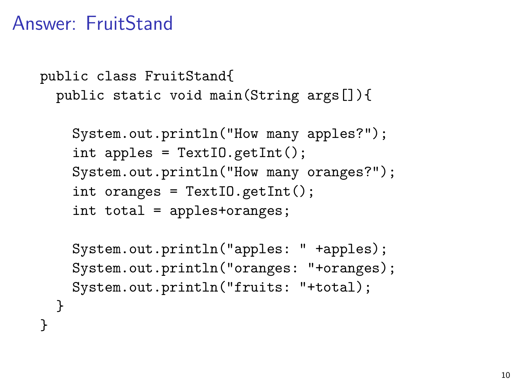## Answer: FruitStand

} }

```
public class FruitStand{
  public static void main(String args[]){
```

```
System.out.println("How many apples?");
int apples = TextI0.getInt();
System.out.println("How many oranges?");
int oranges = TextIO.getInt();
int total = apples+oranges;
```

```
System.out.println("apples: " +apples);
System.out.println("oranges: "+oranges);
System.out.println("fruits: "+total);
```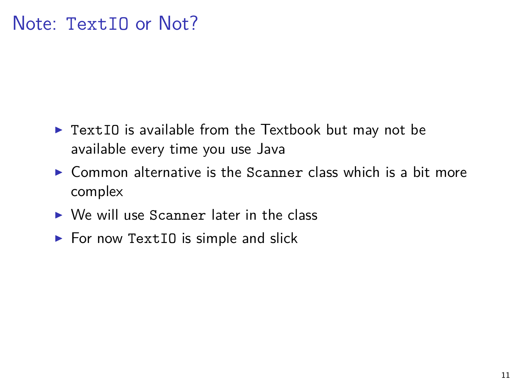- $\triangleright$  TextIO is available from the Textbook but may not be available every time you use Java
- $\triangleright$  Common alternative is the Scanner class which is a bit more complex
- $\triangleright$  We will use Scanner later in the class
- $\triangleright$  For now TextIO is simple and slick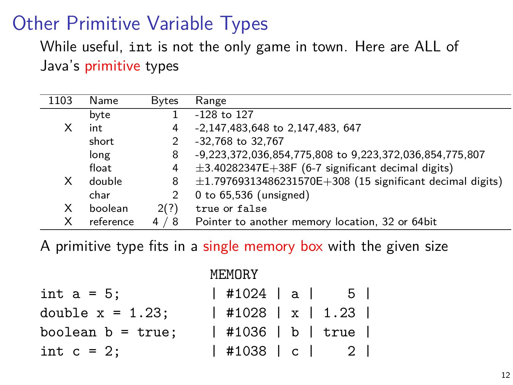# Other Primitive Variable Types

While useful, int is not the only game in town. Here are ALL of Java's primitive types

| 1103 | Name      | <b>Bytes</b> | Range                                                          |
|------|-----------|--------------|----------------------------------------------------------------|
|      | byte      |              | $-128$ to $127$                                                |
| x.   | int       | 4            | -2,147,483,648 to 2,147,483, 647                               |
|      | short     | 2            | -32,768 to 32,767                                              |
|      | long      | 8            | -9,223,372,036,854,775,808 to 9,223,372,036,854,775,807        |
|      | float     | 4            | $\pm$ 3.40282347E $+$ 38F (6-7 significant decimal digits)     |
| x.   | double    | 8            | $\pm$ 1.79769313486231570E+308 (15 significant decimal digits) |
|      | char      | 2            | 0 to $65,536$ (unsigned)                                       |
| X.   | boolean   | 2(?)         | true or false                                                  |
| X    | reference | 4<br>8 '     | Pointer to another memory location, 32 or 64bit                |

A primitive type fits in a single memory box with the given size

. . . . . . . . .

|                      | MEMURY               |  |
|----------------------|----------------------|--|
| int $a = 5$ ;        | #1024 al 5           |  |
| double $x = 1.23$ ;  | $ $ #1028   x   1.23 |  |
| boolean $b = true$ ; | #1036   b   true     |  |
| int $c = 2$ ;        | #1038   c   2        |  |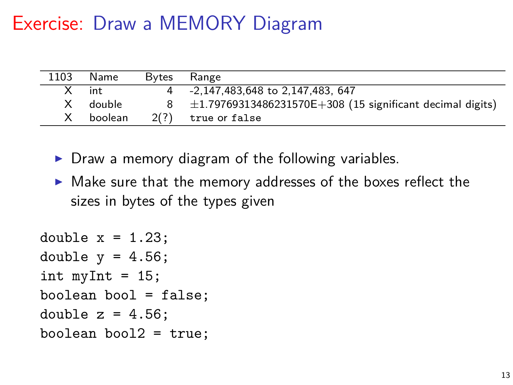# Exercise: Draw a MEMORY Diagram

| 1103 | Name     | Bytes | Range                                                              |
|------|----------|-------|--------------------------------------------------------------------|
|      | $X$ int  |       | 4 -2,147,483,648 to 2,147,483, 647                                 |
|      | X double |       | $8 \pm 1.79769313486231570E + 308$ (15 significant decimal digits) |
| X.   | boolean  |       | $2(?)$ true or false                                               |

- $\triangleright$  Draw a memory diagram of the following variables.
- $\triangleright$  Make sure that the memory addresses of the boxes reflect the sizes in bytes of the types given

```
double x = 1.23:
double y = 4.56;
int myInt = 15;
boolean bool = false;
double z = 4.56;
boolean bool2 = true;
```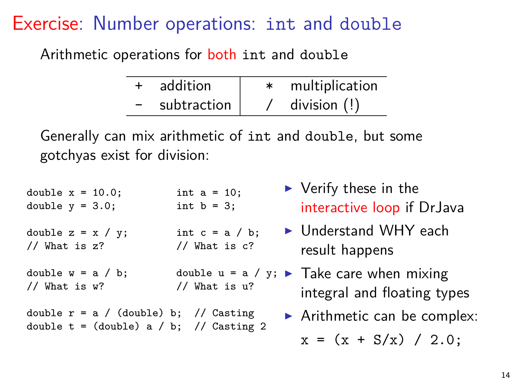## Exercise: Number operations: int and double

Arithmetic operations for both int and double

| addition    | multiplication |
|-------------|----------------|
| subtraction | division $(!)$ |

Generally can mix arithmetic of int and double, but some gotchyas exist for division:

double  $x = 10.0$ ; int  $a = 10$ ;<br>double  $y = 3.0$ : int  $b = 3$ : double  $y = 3.0$ ; double  $z = x / y$ ; int  $c = a / b$ ; // What is z? // What is c? double w = a / b; double u = a / y; <sup>I</sup> Take care when mixing // What is w? // What is u? double  $r = a / (double) b; // Casting$ double  $t = (double) a / b$ ; // Casting 2  $\blacktriangleright$  Verify these in the interactive loop if DrJava  $\blacktriangleright$  Understand WHY each result happens integral and floating types  $\blacktriangleright$  Arithmetic can be complex:  $x = (x + S/x) / 2.0$ ;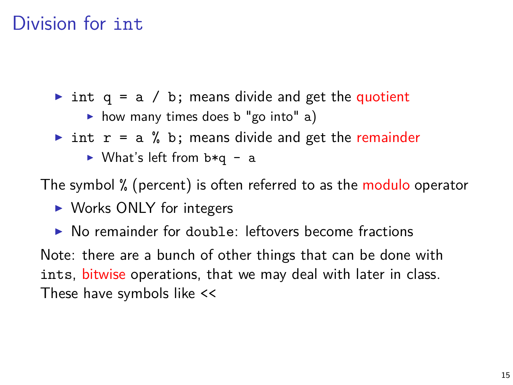#### Division for int.

int q = a / b; means divide and get the quotient

 $\triangleright$  how many times does b "go into" a)

- int  $r = a$  % b; means divide and get the remainder
	- $\triangleright$  What's left from b\*q a

The symbol % (percent) is often referred to as the modulo operator

- $\triangleright$  Works ONLY for integers
- $\triangleright$  No remainder for double: leftovers become fractions

Note: there are a bunch of other things that can be done with ints, bitwise operations, that we may deal with later in class. These have symbols like <<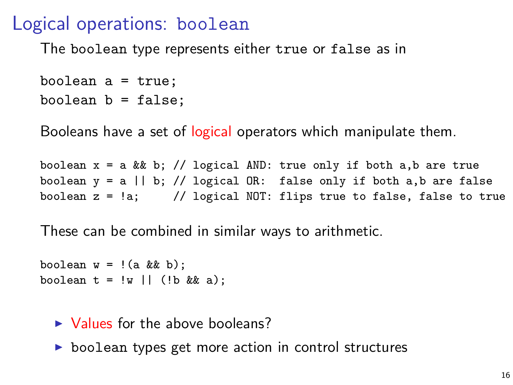#### Logical operations: boolean

The boolean type represents either true or false as in

```
boolean a = true;
boolean b = false;
```
Booleans have a set of logical operators which manipulate them.

boolean  $x = a \& b$ ; // logical AND: true only if both a,b are true boolean  $y = a \mid b$ ; // logical OR: false only if both a,b are false boolean  $z = \langle a; \rangle$  // logical NOT: flips true to false, false to true

These can be combined in similar ways to arithmetic.

```
boolean w = !(a \&b);
boolean t = |w| | (!b && a);
```
#### $\triangleright$  Values for the above booleans?

 $\triangleright$  boolean types get more action in control structures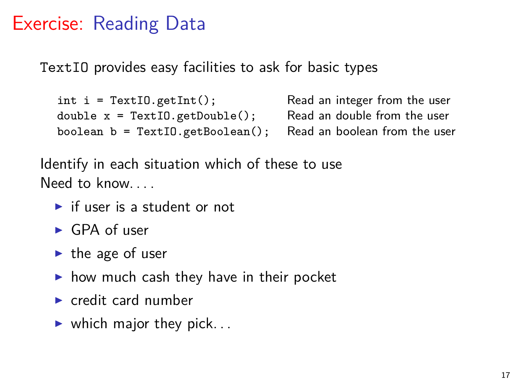## Exercise: Reading Data

TextIO provides easy facilities to ask for basic types

```
int i = TextIO.getInt(); Read an integer from the user double x = TextIO.getDouble(); Read an double from the user
double x = \text{TextI0.getDouble}();
boolean b = TextIO.getBoolean(); Read an boolean from the user
```
Identify in each situation which of these to use Need to know.

- $\blacktriangleright$  if user is a student or not
- $\blacktriangleright$  GPA of user
- $\blacktriangleright$  the age of user
- $\triangleright$  how much cash they have in their pocket
- $\blacktriangleright$  credit card number
- $\blacktriangleright$  which major they pick...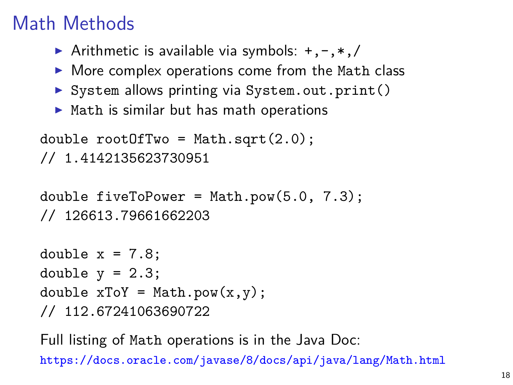# Math Methods

- Arithmetic is available via symbols:  $+, -, *, /$
- $\triangleright$  More complex operations come from the Math class
- $\triangleright$  System allows printing via System.out.print()
- $\blacktriangleright$  Math is similar but has math operations

```
double rootOfTwo = Math.sqrt(2.0);
// 1.4142135623730951
```

```
double fiveToPower = Math.pow(5.0, 7.3);
// 126613.79661662203
```

```
double x = 7.8;
double y = 2.3;
double xToY = Math.pow(x,y);
// 112.67241063690722
```
Full listing of Math operations is in the Java Doc: <https://docs.oracle.com/javase/8/docs/api/java/lang/Math.html>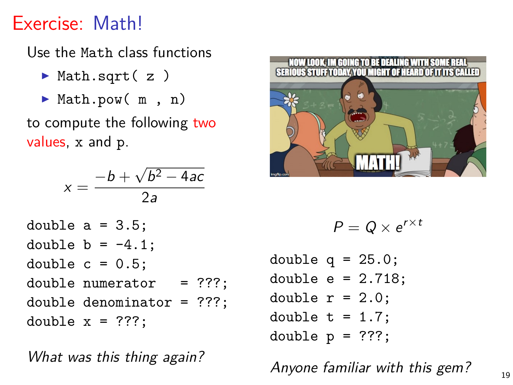# Exercise: Math!

Use the Math class functions

- $\blacktriangleright$  Math.sqrt( z )
- ▶ Math.pow( m, n)

to compute the following two values, x and p.

$$
x = \frac{-b + \sqrt{b^2 - 4ac}}{2a}
$$

double a = 3.5; double b = -4.1; double c = 0.5; double numerator = ???; double denominator = ???; double x = ???;

What was this thing again?



$$
P=Q\times e^{r\times t}
$$

double  $q = 25.0$ ; double  $e = 2.718$ ; double  $r = 2.0$ ; double  $t = 1.7$ ; double  $p = ??$ ?;

Anyone familiar with this gem?  $19$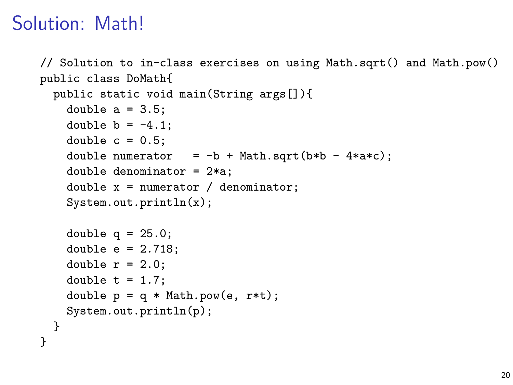# Solution: Math!

}

```
// Solution to in-class exercises on using Math.sqrt() and Math.pow()
public class DoMath{
```

```
public static void main(String args[]){
 double a = 3.5;
 double b = -4.1;
 double c = 0.5;
 double numerator = -b + Math.sqrt(b*b - 4*axc);double denominator = 2*a;
 double x = numerator / denominator;
 System.out.println(x);
 double q = 25.0;
 double e = 2.718:
 double r = 2.0;
 double t = 1.7;
 double p = q * Math.pow(e, r*t);System.out.println(p);
}
```
20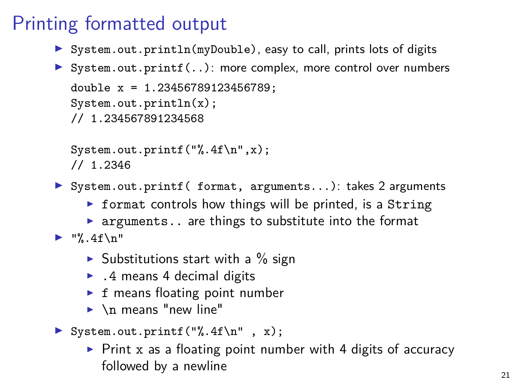# Printing formatted output

- ▶ System.out.println(myDouble), easy to call, prints lots of digits
- ▶ System.out.printf(..): more complex, more control over numbers double x = 1.23456789123456789; System.out.println(x); // 1.234567891234568

```
System.out.printf("%.4f\n",x);
/ / 1.2346
```
- ▶ System.out.printf( format, arguments...): takes 2 arguments
	- $\triangleright$  format controls how things will be printed, is a String
	- $\triangleright$  arguments.. are things to substitute into the format
- $\blacktriangleright$  "%.4f\n"
	- $\triangleright$  Substitutions start with a % sign
	- $\blacktriangleright$  . 4 means 4 decimal digits
	- $\triangleright$  f means floating point number
	- $\blacktriangleright$  \n means "new line"
- $\triangleright$  System.out.printf("%.4f\n", x);
	- $\triangleright$  Print x as a floating point number with 4 digits of accuracy followed by a newline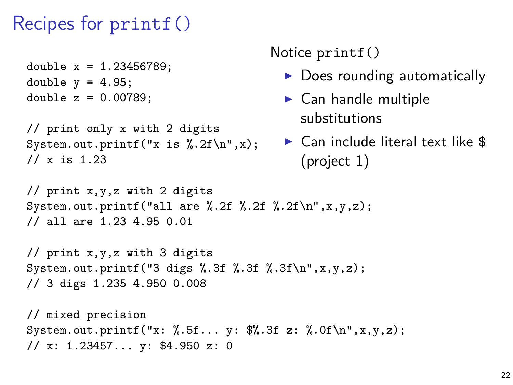### Recipes for printf()

```
double x = 1.23456789:
double y = 4.95;
double z = 0.00789;
```

```
// print only x with 2 digits
System.out.printf("x is \lambda.2f\n",x);
// x is 1.23
```
#### Notice printf()

- $\triangleright$  Does rounding automatically
- $\blacktriangleright$  Can handle multiple substitutions
- $\blacktriangleright$  Can include literal text like \$ (project 1)

```
// print x,y,z with 2 digits
System.out.printf("all are \lambda.2f \lambda.2f \lambda.2f\n",x,y,z);
// all are 1.23 4.95 0.01
```

```
// print x,y,z with 3 digits
System.out.printf("3 digs %.3f %.3f %.3f\n",x,y,z);
// 3 digs 1.235 4.950 0.008
```

```
// mixed precision
System.out.printf("x: %.5f... y: $%.3f z: %.0f\n",x,y,z);
// x: 1.23457... y: $4.950 z: 0
```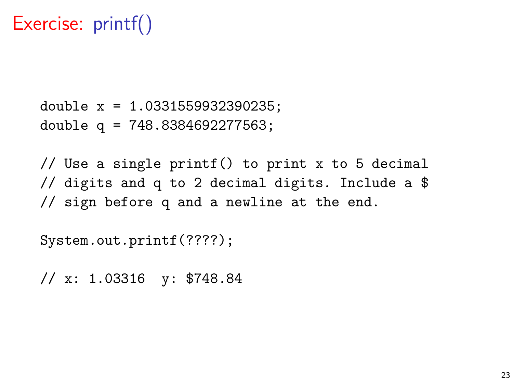# Exercise: printf()

double x = 1.0331559932390235; double q = 748.8384692277563;

// Use a single printf() to print x to 5 decimal // digits and q to 2 decimal digits. Include a \$ // sign before q and a newline at the end.

System.out.printf(????);

// x: 1.03316 y: \$748.84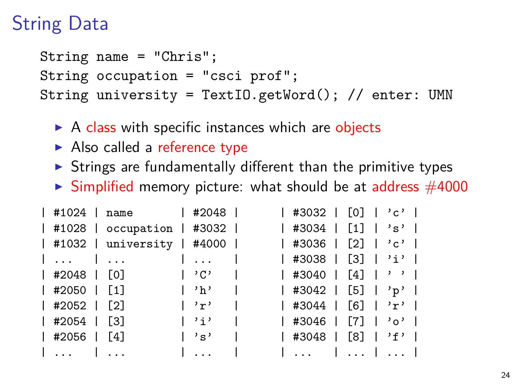# String Data

String name = "Chris"; String occupation = "csci prof"; String university = TextIO.getWord(); // enter: UMN

- $\triangleright$  A class with specific instances which are objects
- $\blacktriangleright$  Also called a reference type
- $\triangleright$  Strings are fundamentally different than the primitive types
- $\triangleright$  Simplified memory picture: what should be at address  $\#4000$

|                   | #1024   name   #2048                       |             |                                     | $ $ #3032   [0]   'c' |  |  |  |
|-------------------|--------------------------------------------|-------------|-------------------------------------|-----------------------|--|--|--|
|                   | #1028   occupation   #3032                 |             |                                     | #3034   [1]   's'     |  |  |  |
|                   | #1032   university   #4000                 |             |                                     | #3036   [2]   'c'     |  |  |  |
|                   | #3038   [3]   'i'                          |             |                                     |                       |  |  |  |
|                   | #2048   [0]   'C'                          |             |                                     | #3040   [4]   ''      |  |  |  |
| $ $ #2050 $ $ [1] | $\mathbf{h}$ , $\mathbf{h}$ , $\mathbf{h}$ |             |                                     | #3042   [5]   'p'     |  |  |  |
| #2052   [2]       |                                            |             |                                     |                       |  |  |  |
| #2054   [3]       |                                            | $\vert$ 'i' | 1 #3046   [7]   'o'                 |                       |  |  |  |
| $ $ #2056 $ $ [4] |                                            | $\vert$ 's' |                                     | #3048   [8]   'f'     |  |  |  |
|                   | $\   \ $                                   |             | and the sense of the formulation of |                       |  |  |  |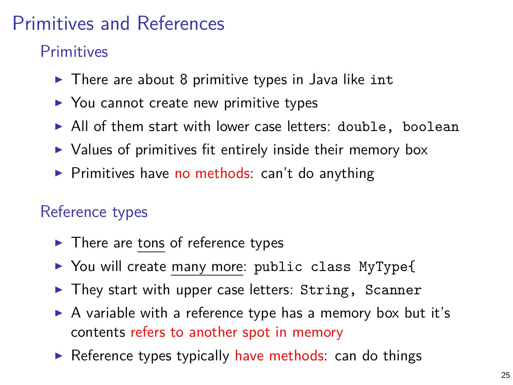# Primitives and References

**Primitives** 

- $\triangleright$  There are about 8 primitive types in Java like int
- $\triangleright$  You cannot create new primitive types
- $\blacktriangleright$  All of them start with lower case letters: double, boolean
- $\triangleright$  Values of primitives fit entirely inside their memory box
- $\triangleright$  Primitives have no methods: can't do anything

#### Reference types

- $\blacktriangleright$  There are tons of reference types
- ▶ You will create many more: public class MyType{
- $\blacktriangleright$  They start with upper case letters: String, Scanner
- $\triangleright$  A variable with a reference type has a memory box but it's contents refers to another spot in memory
- $\triangleright$  Reference types typically have methods: can do things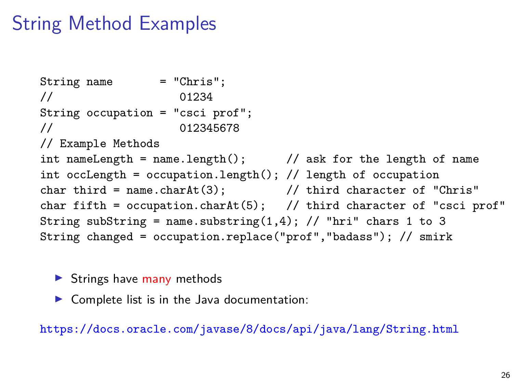# String Method Examples

```
String name = "Chris":// 01234
String occupation = "csci prof";
// 012345678
// Example Methods
int nameLength = name.length(); \frac{1}{2} ask for the length of name
int occLength = occupation.length(); // length of occupation
char third = name.charAt(3); \frac{1}{1 + \text{third character of "Chris"}}char fifth = ocupation.charAt(5); // third character of "csci prof"
String subString = name.substring(1,4); // "hri" chars 1 to 3
String changed = occupation.replace("prof","badass"); // smirk
```
- $\triangleright$  Strings have many methods
- $\triangleright$  Complete list is in the Java documentation:

<https://docs.oracle.com/javase/8/docs/api/java/lang/String.html>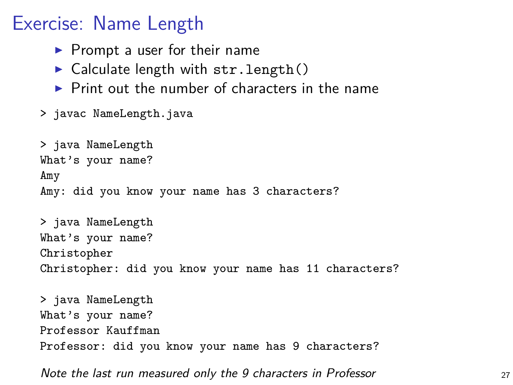## Exercise: Name Length

- $\blacktriangleright$  Prompt a user for their name
- $\triangleright$  Calculate length with str. length()
- $\triangleright$  Print out the number of characters in the name
- > javac NameLength.java

Professor Kauffman

```
> java NameLength
What's your name?
Amy
Amy: did you know your name has 3 characters?
> java NameLength
What's your name?
Christopher
Christopher: did you know your name has 11 characters?
> java NameLength
What's your name?
```
Professor: did you know your name has 9 characters?

Note the last run measured only the 9 characters in Professor **27** 27